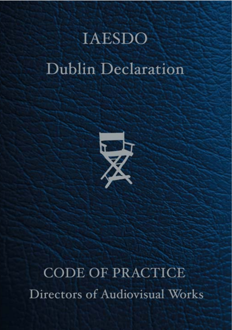# **TAESDO Dublin Declaration**



**CODE OF PRACTICE** Directors of Audiovisual Works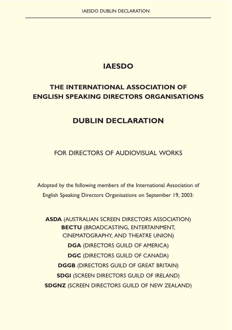# **IAESDO**

### **THE INTERNATIONAL ASSOCIATION OF ENGLISH SPEAKING DIRECTORS ORGANISATIONS**

# **DUBLIN DECLARATION**

FOR DIRECTORS OF AUDIOVISUAL WORKS

Adopted by the following members of the International Association of English Speaking Directors Organisations on September 19, 2003:

**ASDA** (AUSTRALIAN SCREEN DIRECTORS ASSOCIATION) **BECTU** (BROADCASTING, ENTERTAINMENT, CINEMATOGRAPHY, AND THEATRE UNION) **DGA** (DIRECTORS GUILD OF AMERICA) **DGC** (DIRECTORS GUILD OF CANADA) **DGGB** (DIRECTORS GUILD OF GREAT BRITAIN) **SDGI** (SCREEN DIRECTORS GUILD OF IRELAND) **SDGNZ** (SCREEN DIRECTORS GUILD OF NEW ZEALAND)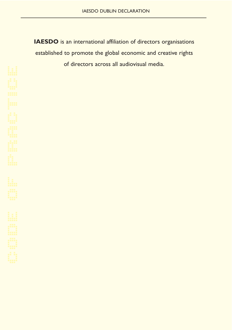**IAESDO** is an international affiliation of directors organisations established to promote the global economic and creative rights of directors across all audiovisual media.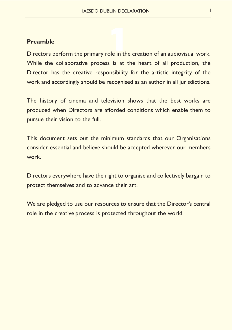#### **Preamble**

Directors perform the primary role in the creation of an audiovisual work. While the collaborative process is at the heart of all production, the Director has the creative responsibility for the artistic integrity of the work and accordingly should be recognised as an author in all jurisdictions. **1**

The history of cinema and television shows that the best works are produced when Directors are afforded conditions which enable them to pursue their vision to the full.

This document sets out the minimum standards that our Organisations consider essential and believe should be accepted wherever our members work.

Directors everywhere have the right to organise and collectively bargain to protect themselves and to advance their art.

We are pledged to use our resources to ensure that the Director's central role in the creative process is protected throughout the world.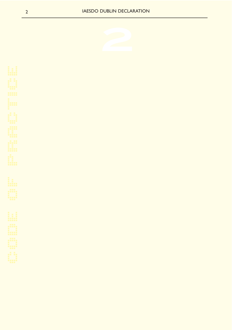

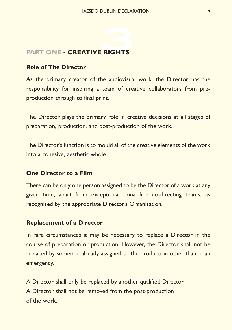

#### **Role of The Director**

As the primary creator of the audiovisual work, the Director has the responsibility for inspiring a team of creative collaborators from preproduction through to final print.

The Director plays the primary role in creative decisions at all stages of preparation, production, and post-production of the work.

The Director's function is to mould all of the creative elements of the work into a cohesive, aesthetic whole.

#### **One Director to a Film**

There can be only one person assigned to be the Director of a work at any given time, apart from exceptional bona fide co-directing teams, as recognised by the appropriate Director's Organisation.

#### **Replacement of a Director**

In rare circumstances it may be necessary to replace a Director in the course of preparation or production. However, the Director shall not be replaced by someone already assigned to the production other than in an emergency.

A Director shall only be replaced by another qualified Director. A Director shall not be removed from the post-production of the work.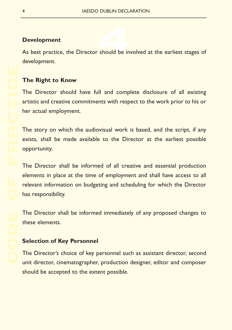#### **Development**

As best practice, the Director should be involved at the earliest stages of development. **4** 

#### **The Right to Know**

The Director should have full and complete disclosure of all existing artistic and creative commitments with respect to the work prior to his or her actual employment.

The story on which the audiovisual work is based, and the script, if any exists, shall be made available to the Director at the earliest possible opportunity.

The Director shall be informed of all creative and essential production elements in place at the time of employment and shall have access to all relevant information on budgeting and scheduling for which the Director has responsibility.

The Director shall be informed immediately of any proposed changes to these elements.

#### **Selection of Key Personnel**

The Director's choice of key personnel such as assistant director, second unit director, cinematographer, production designer, editor and composer should be accepted to the extent possible.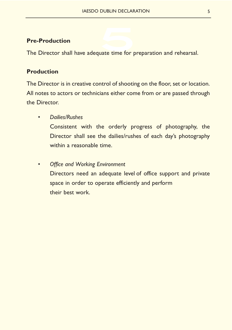#### **Pre-Production**

The Director shall have adequate time for preparation and rehearsal. **5**

#### **Production**

The Director is in creative control of shooting on the floor, set or location. All notes to actors or technicians either come from or are passed through the Director.

*• Dailies/Rushes*

Consistent with the orderly progress of photography, the Director shall see the dailies/rushes of each day's photography within a reasonable time.

*• Office and Working Environment* Directors need an adequate level of office support and private space in order to operate efficiently and perform their best work.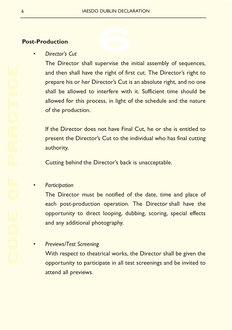**6**

#### **Post-Production**

#### *• Director's Cut*

The Director shall supervise the initial assembly of sequences, and then shall have the right of first cut. The Director's right to prepare his or her Director's Cut is an absolute right, and no one shall be allowed to interfere with it. Sufficient time should be allowed for this process, in light of the schedule and the nature of the production.

If the Director does not have Final Cut, he or she is entitled to present the Director's Cut to the individual who has final cutting authority.

Cutting behind the Director's back is unacceptable.

*• Participation*

The Director must be notified of the date, time and place of each post-production operation. The Director shall have the opportunity to direct looping, dubbing, scoring, special effects and any additional photography.

#### *• Previews/Test Screening*

With respect to theatrical works, the Director shall be given the opportunity to participate in all test screenings and be invited to attend all previews.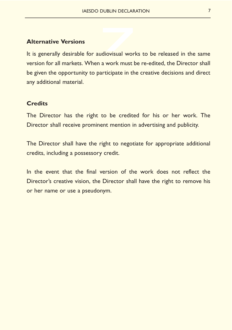#### **Alternative Versions**

It is generally desirable for audiovisual works to be released in the same version for all markets. When a work must be re-edited, the Director shall **7** be given the opportunity to participate in the creative decisions and direct any additional material.

#### **Credits**

The Director has the right to be credited for his or her work. The Director shall receive prominent mention in advertising and publicity.

The Director shall have the right to negotiate for appropriate additional credits, including a possessory credit.

In the event that the final version of the work does not reflect the Director's creative vision, the Director shall have the right to remove his or her name or use a pseudonym.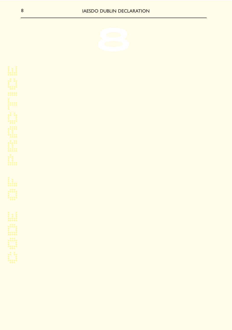

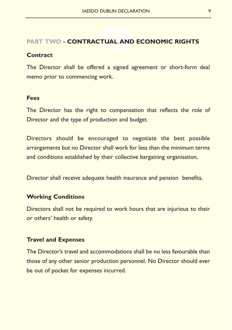# **PART TWO - CONTRACTUAL AND ECONOMIC RIGHTS 9**

#### **Contract**

The Director shall be offered a signed agreement or short-form deal memo prior to commencing work.

#### **Fees**

The Director has the right to compensation that reflects the role of Director and the type of production and budget.

Directors should be encouraged to negotiate the best possible arrangements but no Director shall work for less than the minimum terms and conditions established by their collective bargaining organisation.

Director shall receive adequate health insurance and pension benefits.

#### **Working Conditions**

Directors shall not be required to work hours that are injurious to their or others' health or safety.

#### **Travel and Expenses**

The Director's travel and accommodations shall be no less favourable than those of any other senior production personnel. No Director should ever be out of pocket for expenses incurred.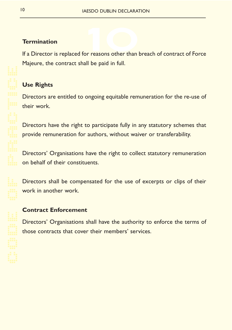#### **Termination**

If a Director is replaced for reasons other than breach of contract of Force Majeure, the contract shall be paid in full. **10**

#### **Use Rights**

Directors are entitled to ongoing equitable remuneration for the re-use of their work.

Directors have the right to participate fully in any statutory schemes that provide remuneration for authors, without waiver or transferability.

Directors' Organisations have the right to collect statutory remuneration on behalf of their constituents.

Directors shall be compensated for the use of excerpts or clips of their work in another work.

#### **Contract Enforcement**

Directors' Organisations shall have the authority to enforce the terms of those contracts that cover their members' services.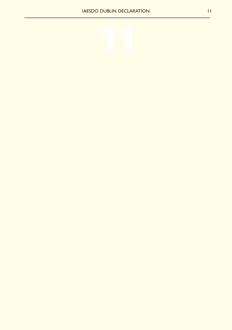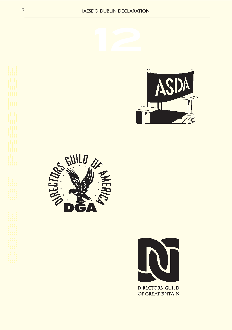**12**







DIRECTORS GUILD OF GREAT BRITAIN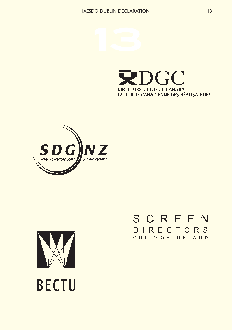**13**







# SCREEN **DIRECTORS** GUILD OF IRELAND

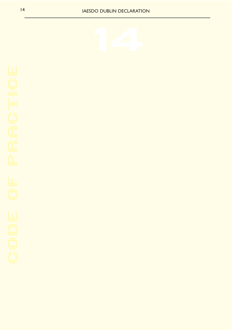